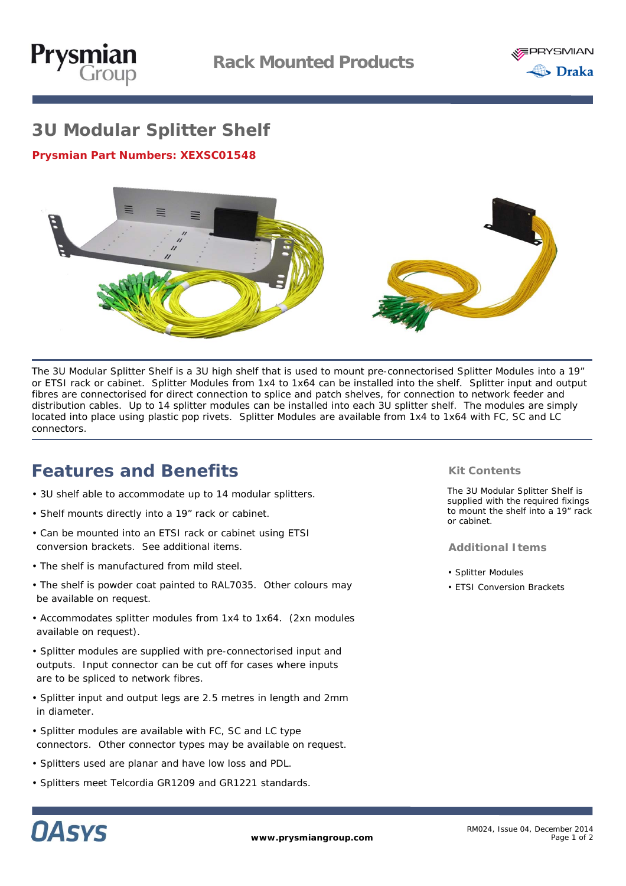



# **3U Modular Splitter Shelf**

**Prysmian Part Numbers:** *XEXSC01548*



The 3U Modular Splitter Shelf is a 3U high shelf that is used to mount pre-connectorised Splitter Modules into a 19" or ETSI rack or cabinet. Splitter Modules from 1x4 to 1x64 can be installed into the shelf. Splitter input and output fibres are connectorised for direct connection to splice and patch shelves, for connection to network feeder and distribution cables. Up to 14 splitter modules can be installed into each 3U splitter shelf. The modules are simply located into place using plastic pop rivets. Splitter Modules are available from 1x4 to 1x64 with FC, SC and LC connectors.

# **Features and Benefits**

- 3U shelf able to accommodate up to 14 modular splitters.
- Shelf mounts directly into a 19" rack or cabinet.
- Can be mounted into an ETSI rack or cabinet using ETSI conversion brackets. See additional items.
- The shelf is manufactured from mild steel.
- The shelf is powder coat painted to RAL7035. Other colours may be available on request.
- Accommodates splitter modules from 1x4 to 1x64. (2xn modules available on request).
- Splitter modules are supplied with pre-connectorised input and outputs. Input connector can be cut off for cases where inputs are to be spliced to network fibres.
- Splitter input and output legs are 2.5 metres in length and 2mm in diameter.
- Splitter modules are available with FC, SC and LC type connectors. Other connector types may be available on request.
- Splitters used are planar and have low loss and PDL.
- Splitters meet Telcordia GR1209 and GR1221 standards.

## **Kit Contents**

The 3U Modular Splitter Shelf is supplied with the required fixings to mount the shelf into a 19" rack or cabinet.

## **Additional Items**

- Splitter Modules
- ETSI Conversion Brackets